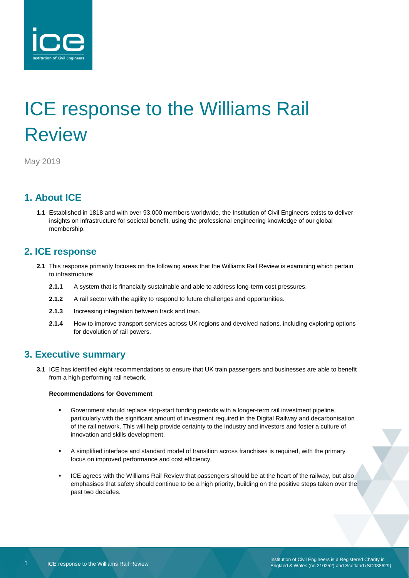

# ICE response to the Williams Rail **Review**

May 2019

## **1. About ICE**

**1.1** Established in 1818 and with over 93,000 members worldwide, the Institution of Civil Engineers exists to deliver insights on infrastructure for societal benefit, using the professional engineering knowledge of our global membership.

### **2. ICE response**

- **2.1** This response primarily focuses on the following areas that the Williams Rail Review is examining which pertain to infrastructure:
	- **2.1.1** A system that is financially sustainable and able to address long-term cost pressures.
	- 2.1.2 A rail sector with the agility to respond to future challenges and opportunities.
	- **2.1.3** Increasing integration between track and train.
	- **2.1.4** How to improve transport services across UK regions and devolved nations, including exploring options for devolution of rail powers.

## **3. Executive summary**

**3.1** ICE has identified eight recommendations to ensure that UK train passengers and businesses are able to benefit from a high-performing rail network.

#### **Recommendations for Government**

- Government should replace stop-start funding periods with a longer-term rail investment pipeline, particularly with the significant amount of investment required in the Digital Railway and decarbonisation of the rail network. This will help provide certainty to the industry and investors and foster a culture of innovation and skills development.
- A simplified interface and standard model of transition across franchises is required, with the primary focus on improved performance and cost efficiency.
- ICE agrees with the Williams Rail Review that passengers should be at the heart of the railway, but also emphasises that safety should continue to be a high priority, building on the positive steps taken over the past two decades.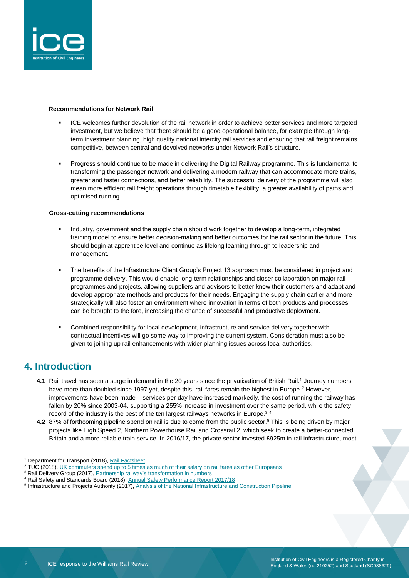

#### **Recommendations for Network Rail**

- ICE welcomes further devolution of the rail network in order to achieve better services and more targeted investment, but we believe that there should be a good operational balance, for example through longterm investment planning, high quality national intercity rail services and ensuring that rail freight remains competitive, between central and devolved networks under Network Rail's structure.
- Progress should continue to be made in delivering the Digital Railway programme. This is fundamental to transforming the passenger network and delivering a modern railway that can accommodate more trains, greater and faster connections, and better reliability. The successful delivery of the programme will also mean more efficient rail freight operations through timetable flexibility, a greater availability of paths and optimised running.

#### **Cross-cutting recommendations**

- Industry, government and the supply chain should work together to develop a long-term, integrated training model to ensure better decision-making and better outcomes for the rail sector in the future. This should begin at apprentice level and continue as lifelong learning through to leadership and management.
- The benefits of the Infrastructure Client Group's Project 13 approach must be considered in project and programme delivery. This would enable long-term relationships and closer collaboration on major rail programmes and projects, allowing suppliers and advisors to better know their customers and adapt and develop appropriate methods and products for their needs. Engaging the supply chain earlier and more strategically will also foster an environment where innovation in terms of both products and processes can be brought to the fore, increasing the chance of successful and productive deployment.
- Combined responsibility for local development, infrastructure and service delivery together with contractual incentives will go some way to improving the current system. Consideration must also be given to joining up rail enhancements with wider planning issues across local authorities.

#### **4. Introduction**

- **4.1** Rail travel has seen a surge in demand in the 20 years since the privatisation of British Rail.<sup>1</sup> Journey numbers have more than doubled since 1997 yet, despite this, rail fares remain the highest in Europe.<sup>2</sup> However, improvements have been made – services per day have increased markedly, the cost of running the railway has fallen by 20% since 2003-04, supporting a 255% increase in investment over the same period, while the safety record of the industry is the best of the ten largest railways networks in Europe.<sup>34</sup>
- **4.2** 87% of forthcoming pipeline spend on rail is due to come from the public sector.<sup>5</sup> This is being driven by major projects like High Speed 2, Northern Powerhouse Rail and Crossrail 2, which seek to create a better-connected Britain and a more reliable train service. In 2016/17, the private sector invested £925m in rail infrastructure, most

l <sup>1</sup> Department for Transport (2018), [Rail Factsheet](https://assets.publishing.service.gov.uk/government/uploads/system/uploads/attachment_data/file/761352/rail-factsheet-2018.pdf)

<sup>&</sup>lt;sup>2</sup> TUC (2018), [UK commuters spend up to 5 times as much of their salary on rail fares as other Europeans](https://www.tuc.org.uk/news/national/uk-commuters-spend-5-times-much-their-salary-rail-fares-other-europeans-finds-tuc)

<sup>&</sup>lt;sup>3</sup> Rail Delivery Group (2017)[, Partnership railway's transformation in numbers](https://www.raildeliverygroup.com/files/Publications/2017-12-industry-dataset.pdf)

<sup>4</sup> Rail Safety and Standards Board (2018), [Annual Safety Performance Report 2017/18](https://www.rssb.co.uk/Library/risk-analysis-and-safety-reporting/annual-safety-performance-report-2017-18.pdf)

<sup>&</sup>lt;sup>5</sup> Infrastructure and Projects Authority (2017), [Analysis of the National Infrastructure and Construction Pipeline](https://assets.publishing.service.gov.uk/government/uploads/system/uploads/attachment_data/file/665332/Analysis_of_National_Infrastructure_and_Construction_Pipeline_2017.pdf)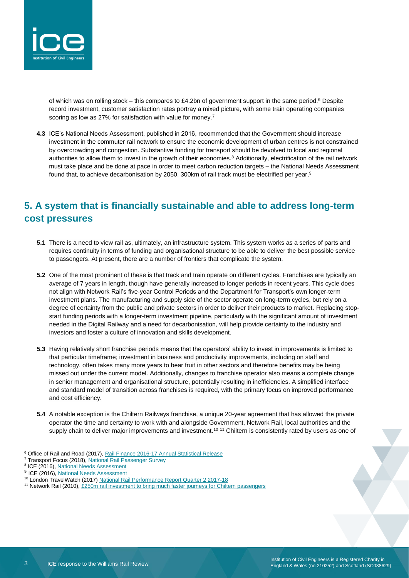

of which was on rolling stock – this compares to £4.2bn of government support in the same period.<sup>6</sup> Despite record investment, customer satisfaction rates portray a mixed picture, with some train operating companies scoring as low as 27% for satisfaction with value for money.<sup>7</sup>

**4.3** ICE's National Needs Assessment, published in 2016, recommended that the Government should increase investment in the commuter rail network to ensure the economic development of urban centres is not constrained by overcrowding and congestion. Substantive funding for transport should be devolved to local and regional authorities to allow them to invest in the growth of their economies.<sup>8</sup> Additionally, electrification of the rail network must take place and be done at pace in order to meet carbon reduction targets – the National Needs Assessment found that, to achieve decarbonisation by 2050, 300km of rail track must be electrified per year.<sup>9</sup>

# **5. A system that is financially sustainable and able to address long-term cost pressures**

- **5.1** There is a need to view rail as, ultimately, an infrastructure system. This system works as a series of parts and requires continuity in terms of funding and organisational structure to be able to deliver the best possible service to passengers. At present, there are a number of frontiers that complicate the system.
- **5.2** One of the most prominent of these is that track and train operate on different cycles. Franchises are typically an average of 7 years in length, though have generally increased to longer periods in recent years. This cycle does not align with Network Rail's five-year Control Periods and the Department for Transport's own longer-term investment plans. The manufacturing and supply side of the sector operate on long-term cycles, but rely on a degree of certainty from the public and private sectors in order to deliver their products to market. Replacing stopstart funding periods with a longer-term investment pipeline, particularly with the significant amount of investment needed in the Digital Railway and a need for decarbonisation, will help provide certainty to the industry and investors and foster a culture of innovation and skills development.
- **5.3** Having relatively short franchise periods means that the operators' ability to invest in improvements is limited to that particular timeframe; investment in business and productivity improvements, including on staff and technology, often takes many more years to bear fruit in other sectors and therefore benefits may be being missed out under the current model. Additionally, changes to franchise operator also means a complete change in senior management and organisational structure, potentially resulting in inefficiencies. A simplified interface and standard model of transition across franchises is required, with the primary focus on improved performance and cost efficiency.
- **5.4** A notable exception is the Chiltern Railways franchise, a unique 20-year agreement that has allowed the private operator the time and certainty to work with and alongside Government, Network Rail, local authorities and the supply chain to deliver major improvements and investment.<sup>10 11</sup> Chiltern is consistently rated by users as one of
- <sup>6</sup> Office of Rail and Road (2017), [Rail Finance 2016-17 Annual Statistical Release](http://orr.gov.uk/__data/assets/pdf_file/0008/25757/rail-finance-statistical-release-2016-17.pdf)

<sup>&</sup>lt;sup>7</sup> Transport Focus (2018)[, National Rail Passenger Survey](http://d3cez36w5wymxj.cloudfront.net/wp-content/uploads/2018/06/19091348/NRPS-spring-2018-Main-Report-June-2018.pdf)

<sup>&</sup>lt;sup>8</sup> ICE (2016)[, National Needs Assessment](https://www.ice.org.uk/getattachment/news-and-insight/policy/national-needs-assessment-a-vision-for-uk-infrastr/National-Needs-Assessment-PDF-(1).pdf.aspx#_ga=2.229340892.1557209777.1554192908-1714938937.1528710932)

<sup>&</sup>lt;sup>9</sup> ICE (2016)[, National Needs Assessment](https://www.ice.org.uk/getattachment/news-and-insight/policy/national-needs-assessment-a-vision-for-uk-infrastr/National-Needs-Assessment-PDF-(1).pdf.aspx#_ga=2.229340892.1557209777.1554192908-1714938937.1528710932)

<sup>10</sup> London TravelWatch (2017[\) National Rail Performance Report Quarter 2 2017-18](http://www.londontravelwatch.org.uk/documents/get_lob?id=4482&field=file)

<sup>&</sup>lt;sup>11</sup> Network Rail (2010)[, £250m rail investment to bring much faster journeys for Chiltern passengers](https://www.networkrailmediacentre.co.uk/news/250m-rail-investment-to-bring-much-faster-journeys-for-chiltern-passengers)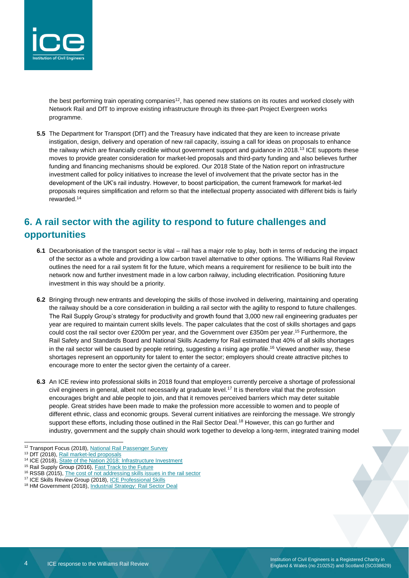

the best performing train operating companies<sup>12</sup>, has opened new stations on its routes and worked closely with Network Rail and DfT to improve existing infrastructure through its three-part Project Evergreen works programme.

**5.5** The Department for Transport (DfT) and the Treasury have indicated that they are keen to increase private instigation, design, delivery and operation of new rail capacity, issuing a call for ideas on proposals to enhance the railway which are financially credible without government support and guidance in 2018.<sup>13</sup> ICE supports these moves to provide greater consideration for market-led proposals and third-party funding and also believes further funding and financing mechanisms should be explored. Our 2018 State of the Nation report on infrastructure investment called for policy initiatives to increase the level of involvement that the private sector has in the development of the UK's rail industry. However, to boost participation, the current framework for market-led proposals requires simplification and reform so that the intellectual property associated with different bids is fairly rewarded.<sup>14</sup>

# **6. A rail sector with the agility to respond to future challenges and opportunities**

- **6.1** Decarbonisation of the transport sector is vital rail has a major role to play, both in terms of reducing the impact of the sector as a whole and providing a low carbon travel alternative to other options. The Williams Rail Review outlines the need for a rail system fit for the future, which means a requirement for resilience to be built into the network now and further investment made in a low carbon railway, including electrification. Positioning future investment in this way should be a priority.
- **6.2** Bringing through new entrants and developing the skills of those involved in delivering, maintaining and operating the railway should be a core consideration in building a rail sector with the agility to respond to future challenges. The Rail Supply Group's strategy for productivity and growth found that 3,000 new rail engineering graduates per year are required to maintain current skills levels. The paper calculates that the cost of skills shortages and gaps could cost the rail sector over £200m per year, and the Government over £350m per year.<sup>15</sup> Furthermore, the Rail Safety and Standards Board and National Skills Academy for Rail estimated that 40% of all skills shortages in the rail sector will be caused by people retiring, suggesting a rising age profile. <sup>16</sup> Viewed another way, these shortages represent an opportunity for talent to enter the sector; employers should create attractive pitches to encourage more to enter the sector given the certainty of a career.
- **6.3** An ICE review into professional skills in 2018 found that employers currently perceive a shortage of professional civil engineers in general, albeit not necessarily at graduate level.<sup>17</sup> It is therefore vital that the profession encourages bright and able people to join, and that it removes perceived barriers which may deter suitable people. Great strides have been made to make the profession more accessible to women and to people of different ethnic, class and economic groups. Several current initiatives are reinforcing the message. We strongly support these efforts, including those outlined in the Rail Sector Deal.<sup>18</sup> However, this can go further and industry, government and the supply chain should work together to develop a long-term, integrated training model

l <sup>12</sup> Transport Focus (2018), [National Rail Passenger Survey](http://d3cez36w5wymxj.cloudfront.net/wp-content/uploads/2019/01/05111216/New-Main-Report-Autumn-2018.pdf)

<sup>&</sup>lt;sup>13</sup> DfT (2018), [Rail market-led proposals](https://assets.publishing.service.gov.uk/government/uploads/system/uploads/attachment_data/file/691751/market-led-proposals-call-for-ideas.pdf)

<sup>14</sup> ICE (2018)[, State of the Nation 2018: Infrastructure Investment](https://www.ice.org.uk/ICEDevelopmentWebPortal/media/Documents/Media/Policy/ICE-SoN-Investment-2018.pdf)

<sup>&</sup>lt;sup>15</sup> Rail Supply Group (2016), **Fast Track to the Future** 

<sup>&</sup>lt;sup>16</sup> RSSB (2015), [The cost of not addressing skills issues in the rail sector](https://www.rssb.co.uk/Library/research-development-and-innovation/The-cost-of-not-addressing-skills-issues-in-the-rail-sector-RSSB-NSAR-Atkins-October-2015.pdf)

<sup>17</sup> ICE Skills Review Group (2018), [ICE Professional Skills](https://www.ice.org.uk/ICEDevelopmentWebPortal/media/Documents/News/ICE%20News/ICE-Skills-report-2018.pdf)

<sup>18</sup> HM Government (2018)[, Industrial Strategy: Rail Sector Deal](https://assets.publishing.service.gov.uk/government/uploads/system/uploads/attachment_data/file/790469/beis-rail-sector-deal-accessible.pdf)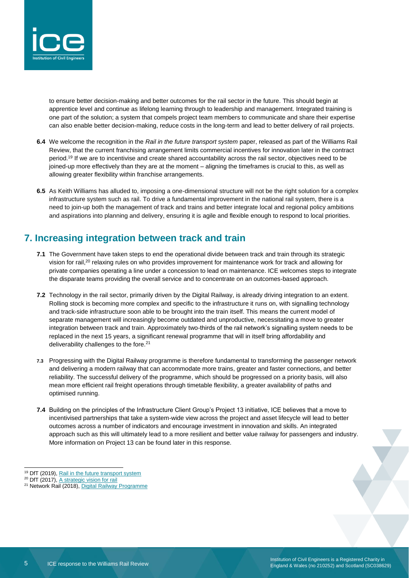

to ensure better decision-making and better outcomes for the rail sector in the future. This should begin at apprentice level and continue as lifelong learning through to leadership and management. Integrated training is one part of the solution; a system that compels project team members to communicate and share their expertise can also enable better decision-making, reduce costs in the long-term and lead to better delivery of rail projects.

- **6.4** We welcome the recognition in the *Rail in the future transport system* paper, released as part of the Williams Rail Review, that the current franchising arrangement limits commercial incentives for innovation later in the contract period.<sup>19</sup> If we are to incentivise and create shared accountability across the rail sector, objectives need to be joined-up more effectively than they are at the moment – aligning the timeframes is crucial to this, as well as allowing greater flexibility within franchise arrangements.
- **6.5** As Keith Williams has alluded to, imposing a one-dimensional structure will not be the right solution for a complex infrastructure system such as rail. To drive a fundamental improvement in the national rail system, there is a need to join-up both the management of track and trains and better integrate local and regional policy ambitions and aspirations into planning and delivery, ensuring it is agile and flexible enough to respond to local priorities.

# **7. Increasing integration between track and train**

- **7.1** The Government have taken steps to end the operational divide between track and train through its strategic vision for rail,<sup>20</sup> relaxing rules on who provides improvement for maintenance work for track and allowing for private companies operating a line under a concession to lead on maintenance. ICE welcomes steps to integrate the disparate teams providing the overall service and to concentrate on an outcomes-based approach.
- **7.2** Technology in the rail sector, primarily driven by the Digital Railway, is already driving integration to an extent. Rolling stock is becoming more complex and specific to the infrastructure it runs on, with signalling technology and track-side infrastructure soon able to be brought into the train itself. This means the current model of separate management will increasingly become outdated and unproductive, necessitating a move to greater integration between track and train. Approximately two-thirds of the rail network's signalling system needs to be replaced in the next 15 years, a significant renewal programme that will in itself bring affordability and deliverability challenges to the fore.<sup>21</sup>
- **7.3** Progressing with the Digital Railway programme is therefore fundamental to transforming the passenger network and delivering a modern railway that can accommodate more trains, greater and faster connections, and better reliability. The successful delivery of the programme, which should be progressed on a priority basis, will also mean more efficient rail freight operations through timetable flexibility, a greater availability of paths and optimised running.
- **7.4** Building on the principles of the Infrastructure Client Group's Project 13 initiative, ICE believes that a move to incentivised partnerships that take a system-wide view across the project and asset lifecycle will lead to better outcomes across a number of indicators and encourage investment in innovation and skills. An integrated approach such as this will ultimately lead to a more resilient and better value railway for passengers and industry. More information on Project 13 can be found later in this response.

<sup>&</sup>lt;sup>19</sup> DfT (2019), [Rail in the future transport system](https://assets.publishing.service.gov.uk/government/uploads/system/uploads/attachment_data/file/802472/rail-in-the-future-transport-system.pdf)

<sup>&</sup>lt;sup>20</sup> DfT (2017), [A strategic vision for rail](https://www.gov.uk/government/publications/a-strategic-vision-for-rail)

<sup>&</sup>lt;sup>21</sup> Network Rail (2018)[, Digital Railway Programme](https://cdn.networkrail.co.uk/wp-content/uploads/2018/05/Digital-Railway-Programme.pdf)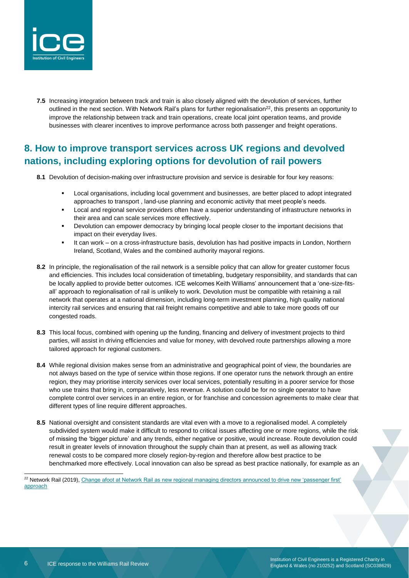

**7.5** Increasing integration between track and train is also closely aligned with the devolution of services, further outlined in the next section. With Network Rail's plans for further regionalisation<sup>22</sup>, this presents an opportunity to improve the relationship between track and train operations, create local joint operation teams, and provide businesses with clearer incentives to improve performance across both passenger and freight operations.

# **8. How to improve transport services across UK regions and devolved nations, including exploring options for devolution of rail powers**

- **8.1** Devolution of decision-making over infrastructure provision and service is desirable for four key reasons:
	- Local organisations, including local government and businesses, are better placed to adopt integrated approaches to transport , land-use planning and economic activity that meet people's needs.
	- Local and regional service providers often have a superior understanding of infrastructure networks in their area and can scale services more effectively.
	- Devolution can empower democracy by bringing local people closer to the important decisions that impact on their everyday lives.
	- It can work on a cross-infrastructure basis, devolution has had positive impacts in London, Northern Ireland, Scotland, Wales and the combined authority mayoral regions.
- **8.2** In principle, the regionalisation of the rail network is a sensible policy that can allow for greater customer focus and efficiencies. This includes local consideration of timetabling, budgetary responsibility, and standards that can be locally applied to provide better outcomes. ICE welcomes Keith Williams' announcement that a 'one-size-fitsall' approach to regionalisation of rail is unlikely to work. Devolution must be compatible with retaining a rail network that operates at a national dimension, including long-term investment planning, high quality national intercity rail services and ensuring that rail freight remains competitive and able to take more goods off our congested roads.
- **8.3** This local focus, combined with opening up the funding, financing and delivery of investment projects to third parties, will assist in driving efficiencies and value for money, with devolved route partnerships allowing a more tailored approach for regional customers.
- **8.4** While regional division makes sense from an administrative and geographical point of view, the boundaries are not always based on the type of service within those regions. If one operator runs the network through an entire region, they may prioritise intercity services over local services, potentially resulting in a poorer service for those who use trains that bring in, comparatively, less revenue. A solution could be for no single operator to have complete control over services in an entire region, or for franchise and concession agreements to make clear that different types of line require different approaches.
- **8.5** National oversight and consistent standards are vital even with a move to a regionalised model. A completely subdivided system would make it difficult to respond to critical issues affecting one or more regions, while the risk of missing the 'bigger picture' and any trends, either negative or positive, would increase. Route devolution could result in greater levels of innovation throughout the supply chain than at present, as well as allowing track renewal costs to be compared more closely region-by-region and therefore allow best practice to be benchmarked more effectively. Local innovation can also be spread as best practice nationally, for example as an

<sup>&</sup>lt;sup>22</sup> Network Rail (2019), Change afoot at Network Rail as new regional managing directors announced to drive new 'passenger first' [approach](https://www.networkrail.co.uk/feeds/change-afoot-at-network-rail-as-new-regional-managing-directors-announced-to-drive-new-passenger-first-approach/)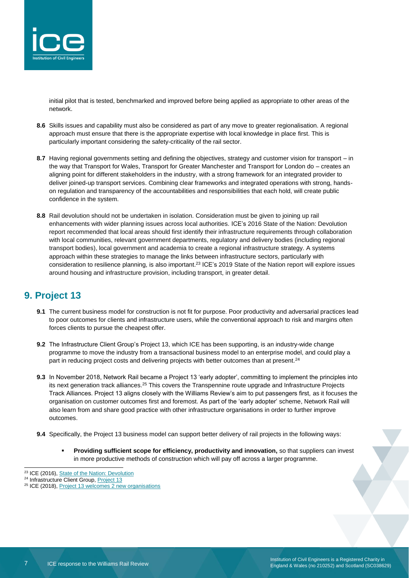

initial pilot that is tested, benchmarked and improved before being applied as appropriate to other areas of the network.

- **8.6** Skills issues and capability must also be considered as part of any move to greater regionalisation. A regional approach must ensure that there is the appropriate expertise with local knowledge in place first. This is particularly important considering the safety-criticality of the rail sector.
- **8.7** Having regional governments setting and defining the objectives, strategy and customer vision for transport in the way that Transport for Wales, Transport for Greater Manchester and Transport for London do – creates an aligning point for different stakeholders in the industry, with a strong framework for an integrated provider to deliver joined-up transport services. Combining clear frameworks and integrated operations with strong, handson regulation and transparency of the accountabilities and responsibilities that each hold, will create public confidence in the system.
- **8.8** Rail devolution should not be undertaken in isolation. Consideration must be given to joining up rail enhancements with wider planning issues across local authorities. ICE's 2016 State of the Nation: Devolution report recommended that local areas should first identify their infrastructure requirements through collaboration with local communities, relevant government departments, regulatory and delivery bodies (including regional transport bodies), local government and academia to create a regional infrastructure strategy. A systems approach within these strategies to manage the links between infrastructure sectors, particularly with consideration to resilience planning, is also important.<sup>23</sup> ICE's 2019 State of the Nation report will explore issues around housing and infrastructure provision, including transport, in greater detail.

# **9. Project 13**

- **9.1** The current business model for construction is not fit for purpose. Poor productivity and adversarial practices lead to poor outcomes for clients and infrastructure users, while the conventional approach to risk and margins often forces clients to pursue the cheapest offer.
- **9.2** The Infrastructure Client Group's Project 13, which ICE has been supporting, is an industry-wide change programme to move the industry from a transactional business model to an enterprise model, and could play a part in reducing project costs and delivering projects with better outcomes than at present.<sup>24</sup>
- **9.3** In November 2018, Network Rail became a Project 13 'early adopter', committing to implement the principles into its next generation track alliances.<sup>25</sup> This covers the Transpennine route upgrade and Infrastructure Projects Track Alliances. Project 13 aligns closely with the Williams Review's aim to put passengers first, as it focuses the organisation on customer outcomes first and foremost. As part of the 'early adopter' scheme, Network Rail will also learn from and share good practice with other infrastructure organisations in order to further improve outcomes.
- **9.4** Specifically, the Project 13 business model can support better delivery of rail projects in the following ways:
	- **Providing sufficient scope for efficiency, productivity and innovation, so that suppliers can invest** in more productive methods of construction which will pay off across a larger programme.

<sup>&</sup>lt;sup>23</sup> ICE (2016)[, State of the Nation: Devolution](https://www.ice.org.uk/getattachment/media-and-policy/policy/state-of-the-nation-2016-devolution/state-of-the-nation-2016-devolution.pdf.aspx)

<sup>&</sup>lt;sup>24</sup> Infrastructure Client Group, [Project 13](http://www.p13.org.uk/)

<sup>&</sup>lt;sup>25</sup> ICE (2018)[, Project 13 welcomes 2 new organisations](https://www.ice.org.uk/news-and-insight/latest-ice-news/project-13-welcomes-new-organisations)